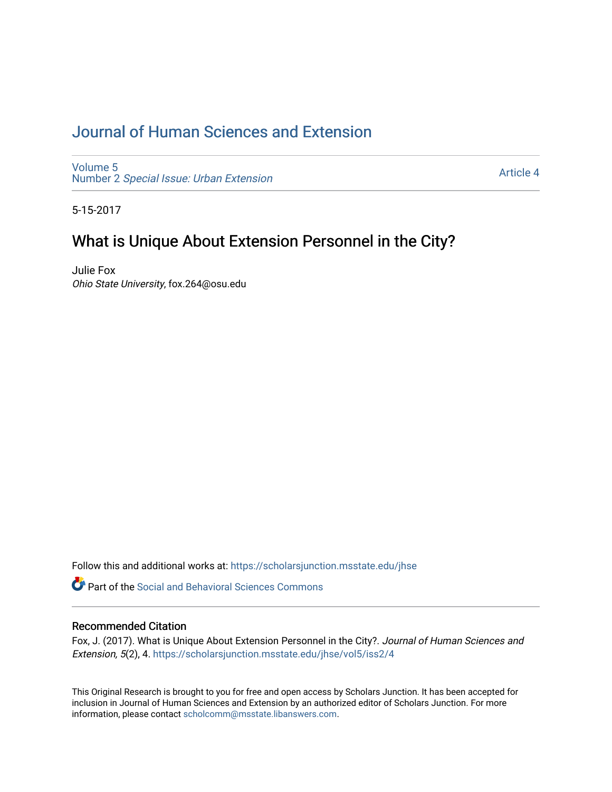# [Journal of Human Sciences and Extension](https://scholarsjunction.msstate.edu/jhse)

[Volume 5](https://scholarsjunction.msstate.edu/jhse/vol5) Number 2 [Special Issue: Urban Extension](https://scholarsjunction.msstate.edu/jhse/vol5/iss2) 

[Article 4](https://scholarsjunction.msstate.edu/jhse/vol5/iss2/4) 

5-15-2017

# What is Unique About Extension Personnel in the City?

Julie Fox Ohio State University, fox.264@osu.edu

Follow this and additional works at: [https://scholarsjunction.msstate.edu/jhse](https://scholarsjunction.msstate.edu/jhse?utm_source=scholarsjunction.msstate.edu%2Fjhse%2Fvol5%2Fiss2%2F4&utm_medium=PDF&utm_campaign=PDFCoverPages)

**C** Part of the Social and Behavioral Sciences Commons

#### Recommended Citation

Fox, J. (2017). What is Unique About Extension Personnel in the City?. Journal of Human Sciences and Extension, 5(2), 4. [https://scholarsjunction.msstate.edu/jhse/vol5/iss2/4](https://scholarsjunction.msstate.edu/jhse/vol5/iss2/4?utm_source=scholarsjunction.msstate.edu%2Fjhse%2Fvol5%2Fiss2%2F4&utm_medium=PDF&utm_campaign=PDFCoverPages) 

This Original Research is brought to you for free and open access by Scholars Junction. It has been accepted for inclusion in Journal of Human Sciences and Extension by an authorized editor of Scholars Junction. For more information, please contact [scholcomm@msstate.libanswers.com](mailto:scholcomm@msstate.libanswers.com).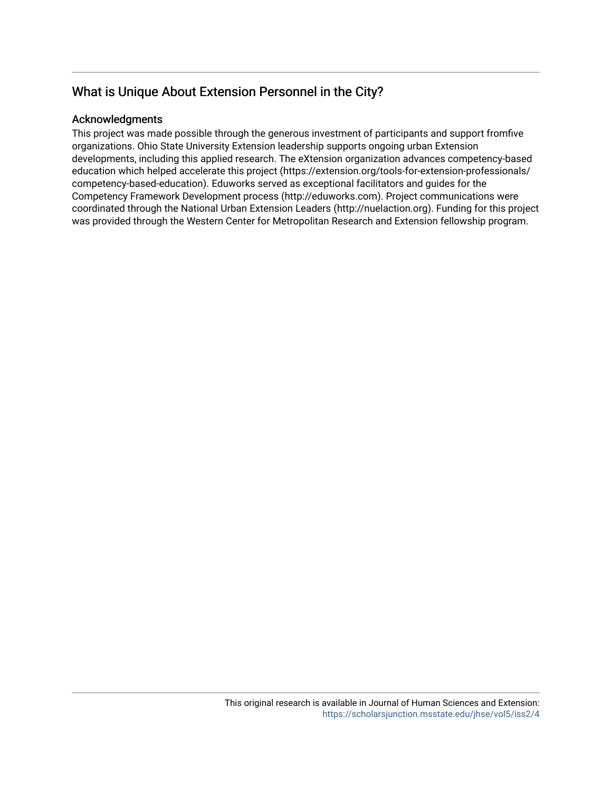## Acknowledgments

This project was made possible through the generous investment of participants and support fromfive organizations. Ohio State University Extension leadership supports ongoing urban Extension developments, including this applied research. The eXtension organization advances competency-based education which helped accelerate this project (https://extension.org/tools-for-extension-professionals/ competency-based-education). Eduworks served as exceptional facilitators and guides for the Competency Framework Development process (http://eduworks.com). Project communications were coordinated through the National Urban Extension Leaders (http://nuelaction.org). Funding for this project was provided through the Western Center for Metropolitan Research and Extension fellowship program.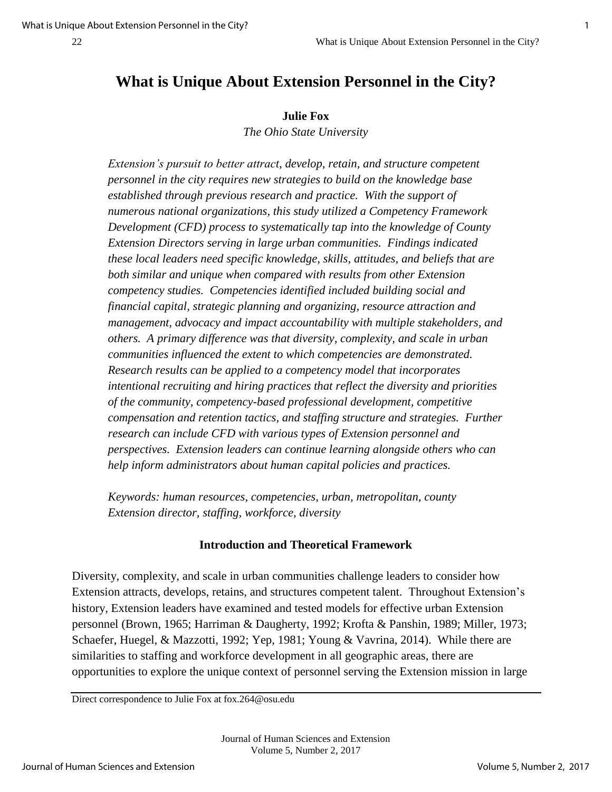#### **Julie Fox**

*The Ohio State University* 

*Extension's pursuit to better attract, develop, retain, and structure competent personnel in the city requires new strategies to build on the knowledge base established through previous research and practice. With the support of numerous national organizations, this study utilized a Competency Framework Development (CFD) process to systematically tap into the knowledge of County Extension Directors serving in large urban communities. Findings indicated these local leaders need specific knowledge, skills, attitudes, and beliefs that are both similar and unique when compared with results from other Extension competency studies. Competencies identified included building social and financial capital, strategic planning and organizing, resource attraction and management, advocacy and impact accountability with multiple stakeholders, and others. A primary difference was that diversity, complexity, and scale in urban communities influenced the extent to which competencies are demonstrated. Research results can be applied to a competency model that incorporates intentional recruiting and hiring practices that reflect the diversity and priorities of the community, competency-based professional development, competitive compensation and retention tactics, and staffing structure and strategies. Further research can include CFD with various types of Extension personnel and perspectives. Extension leaders can continue learning alongside others who can help inform administrators about human capital policies and practices.* 

*Keywords: human resources, competencies, urban, metropolitan, county Extension director, staffing, workforce, diversity*

#### **Introduction and Theoretical Framework**

Diversity, complexity, and scale in urban communities challenge leaders to consider how Extension attracts, develops, retains, and structures competent talent. Throughout Extension's history, Extension leaders have examined and tested models for effective urban Extension personnel (Brown, 1965; Harriman & Daugherty, 1992; Krofta & Panshin, 1989; Miller, 1973; Schaefer, Huegel, & Mazzotti, 1992; Yep, 1981; Young & Vavrina, 2014). While there are similarities to staffing and workforce development in all geographic areas, there are opportunities to explore the unique context of personnel serving the Extension mission in large

Direct correspondence to Julie Fox at fox.264@osu.edu

Journal of Human Sciences and Extension Volume 5, Number 2, 2017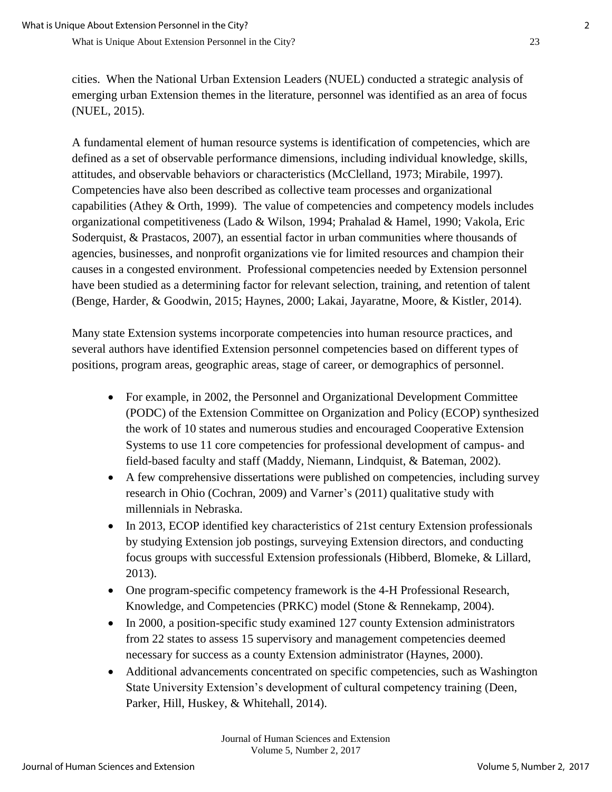cities. When the National Urban Extension Leaders (NUEL) conducted a strategic analysis of emerging urban Extension themes in the literature, personnel was identified as an area of focus (NUEL, 2015).

A fundamental element of human resource systems is identification of competencies, which are defined as a set of observable performance dimensions, including individual knowledge, skills, attitudes, and observable behaviors or characteristics (McClelland, 1973; Mirabile, 1997). Competencies have also been described as collective team processes and organizational capabilities (Athey & Orth, 1999). The value of competencies and competency models includes organizational competitiveness (Lado & Wilson, 1994; Prahalad & Hamel, 1990; Vakola, Eric Soderquist, & Prastacos, 2007), an essential factor in urban communities where thousands of agencies, businesses, and nonprofit organizations vie for limited resources and champion their causes in a congested environment. Professional competencies needed by Extension personnel have been studied as a determining factor for relevant selection, training, and retention of talent (Benge, Harder, & Goodwin, 2015; Haynes, 2000; Lakai, Jayaratne, Moore, & Kistler, 2014).

Many state Extension systems incorporate competencies into human resource practices, and several authors have identified Extension personnel competencies based on different types of positions, program areas, geographic areas, stage of career, or demographics of personnel.

- For example, in 2002, the Personnel and Organizational Development Committee (PODC) of the Extension Committee on Organization and Policy (ECOP) synthesized the work of 10 states and numerous studies and encouraged Cooperative Extension Systems to use 11 core competencies for professional development of campus- and field-based faculty and staff (Maddy, Niemann, Lindquist, & Bateman, 2002).
- A few comprehensive dissertations were published on competencies, including survey research in Ohio (Cochran, 2009) and Varner's (2011) qualitative study with millennials in Nebraska.
- In 2013, ECOP identified key characteristics of 21st century Extension professionals by studying Extension job postings, surveying Extension directors, and conducting focus groups with successful Extension professionals (Hibberd, Blomeke, & Lillard, 2013).
- One program-specific competency framework is the 4-H Professional Research, Knowledge, and Competencies (PRKC) model (Stone & Rennekamp, 2004).
- In 2000, a position-specific study examined 127 county Extension administrators from 22 states to assess 15 supervisory and management competencies deemed necessary for success as a county Extension administrator (Haynes, 2000).
- Additional advancements concentrated on specific competencies, such as Washington State University Extension's development of cultural competency training (Deen, Parker, Hill, Huskey, & Whitehall, 2014).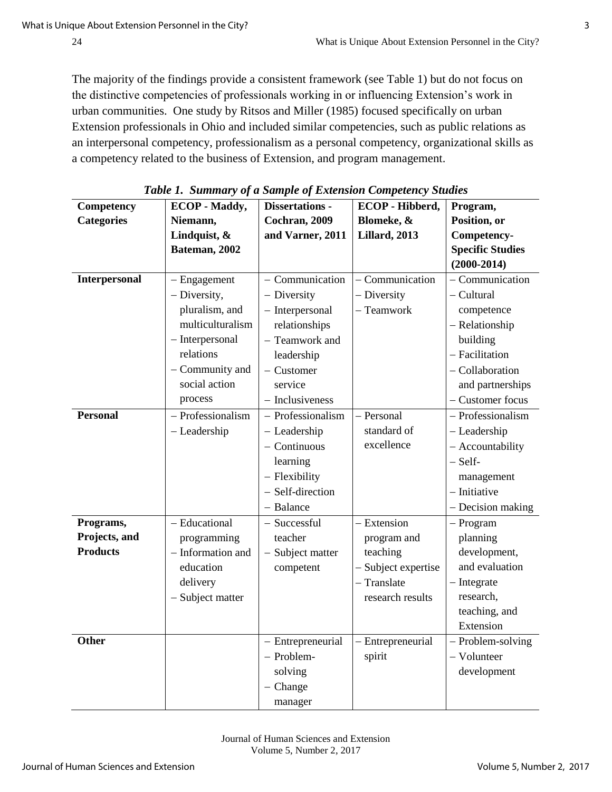The majority of the findings provide a consistent framework (see Table 1) but do not focus on the distinctive competencies of professionals working in or influencing Extension's work in urban communities. One study by Ritsos and Miller (1985) focused specifically on urban Extension professionals in Ohio and included similar competencies, such as public relations as an interpersonal competency, professionalism as a personal competency, organizational skills as a competency related to the business of Extension, and program management.

| Competency        | <b>ECOP</b> - Maddy, | <b>Dissertations -</b> | ECOP - Hibberd,       | Program,                |
|-------------------|----------------------|------------------------|-----------------------|-------------------------|
| <b>Categories</b> | Niemann,             | Cochran, 2009          | Blomeke, &            | Position, or            |
|                   | Lindquist, &         | and Varner, 2011       | <b>Lillard</b> , 2013 | Competency-             |
|                   | Bateman, 2002        |                        |                       | <b>Specific Studies</b> |
|                   |                      |                        |                       | $(2000 - 2014)$         |
| Interpersonal     | $-$ Engagement       | - Communication        | Communication         | - Communication         |
|                   | - Diversity,         | - Diversity            | - Diversity           | - Cultural              |
|                   | pluralism, and       | - Interpersonal        | - Teamwork            | competence              |
|                   | multiculturalism     | relationships          |                       | - Relationship          |
|                   | - Interpersonal      | - Teamwork and         |                       | building                |
|                   | relations            | leadership             |                       | - Facilitation          |
|                   | - Community and      | - Customer             |                       | - Collaboration         |
|                   | social action        | service                |                       | and partnerships        |
|                   | process              | - Inclusiveness        |                       | - Customer focus        |
| <b>Personal</b>   | - Professionalism    | - Professionalism      | - Personal            | - Professionalism       |
|                   | - Leadership         | - Leadership           | standard of           | - Leadership            |
|                   |                      | $-$ Continuous         | excellence            | - Accountability        |
|                   |                      | learning               |                       | $-$ Self-               |
|                   |                      | - Flexibility          |                       | management              |
|                   |                      | - Self-direction       |                       | - Initiative            |
|                   |                      | - Balance              |                       | - Decision making       |
| Programs,         | - Educational        | - Successful           | - Extension           | - Program               |
| Projects, and     | programming          | teacher                | program and           | planning                |
| <b>Products</b>   | - Information and    | - Subject matter       | teaching              | development,            |
|                   | education            | competent              | - Subject expertise   | and evaluation          |
|                   | delivery             |                        | - Translate           | $-$ Integrate           |
|                   | - Subject matter     |                        | research results      | research,               |
|                   |                      |                        |                       | teaching, and           |
|                   |                      |                        |                       | Extension               |
| <b>Other</b>      |                      | - Entrepreneurial      | Entrepreneurial       | - Problem-solving       |
|                   |                      | - Problem-             | spirit                | - Volunteer             |
|                   |                      | solving                |                       | development             |
|                   |                      | $-$ Change             |                       |                         |
|                   |                      | manager                |                       |                         |

*Table 1. Summary of a Sample of Extension Competency Studies*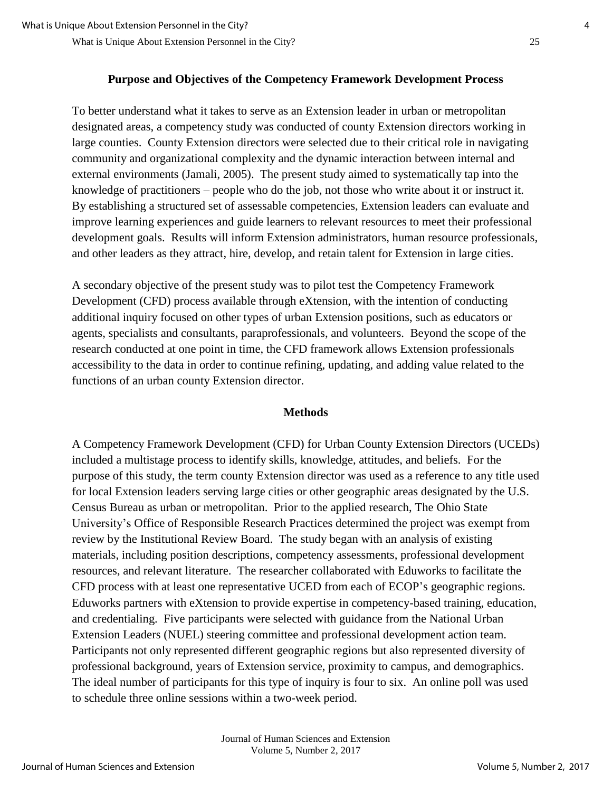## **Purpose and Objectives of the Competency Framework Development Process**

To better understand what it takes to serve as an Extension leader in urban or metropolitan designated areas, a competency study was conducted of county Extension directors working in large counties. County Extension directors were selected due to their critical role in navigating community and organizational complexity and the dynamic interaction between internal and external environments (Jamali, 2005). The present study aimed to systematically tap into the knowledge of practitioners – people who do the job, not those who write about it or instruct it. By establishing a structured set of assessable competencies, Extension leaders can evaluate and improve learning experiences and guide learners to relevant resources to meet their professional development goals. Results will inform Extension administrators, human resource professionals, and other leaders as they attract, hire, develop, and retain talent for Extension in large cities.

A secondary objective of the present study was to pilot test the Competency Framework Development (CFD) process available through eXtension, with the intention of conducting additional inquiry focused on other types of urban Extension positions, such as educators or agents, specialists and consultants, paraprofessionals, and volunteers. Beyond the scope of the research conducted at one point in time, the CFD framework allows Extension professionals accessibility to the data in order to continue refining, updating, and adding value related to the functions of an urban county Extension director.

#### **Methods**

A Competency Framework Development (CFD) for Urban County Extension Directors (UCEDs) included a multistage process to identify skills, knowledge, attitudes, and beliefs. For the purpose of this study, the term county Extension director was used as a reference to any title used for local Extension leaders serving large cities or other geographic areas designated by the U.S. Census Bureau as urban or metropolitan. Prior to the applied research, The Ohio State University's Office of Responsible Research Practices determined the project was exempt from review by the Institutional Review Board. The study began with an analysis of existing materials, including position descriptions, competency assessments, professional development resources, and relevant literature. The researcher collaborated with Eduworks to facilitate the CFD process with at least one representative UCED from each of ECOP's geographic regions. Eduworks partners with eXtension to provide expertise in competency-based training, education, and credentialing.Five participants were selected with guidance from the National Urban Extension Leaders (NUEL) steering committee and professional development action team. Participants not only represented different geographic regions but also represented diversity of professional background, years of Extension service, proximity to campus, and demographics. The ideal number of participants for this type of inquiry is four to six. An online poll was used to schedule three online sessions within a two-week period.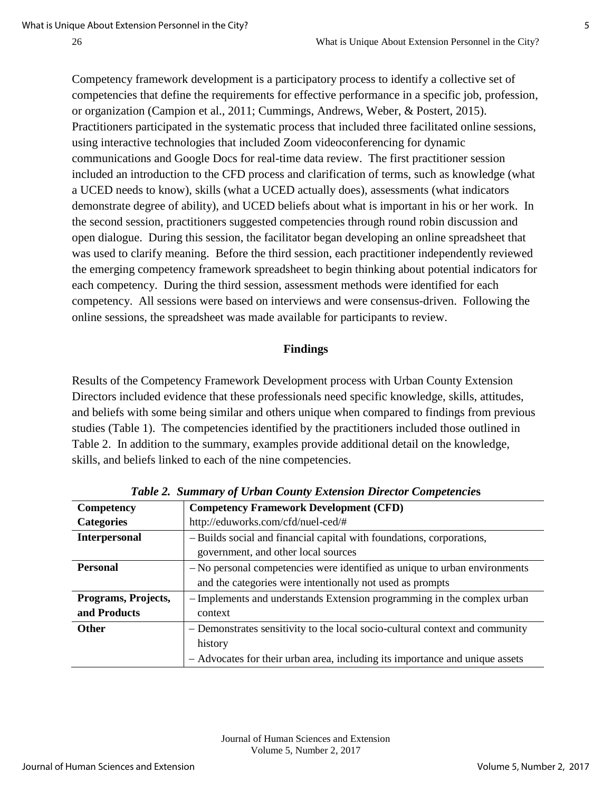Competency framework development is a participatory process to identify a collective set of competencies that define the requirements for effective performance in a specific job, profession, or organization (Campion et al., 2011; Cummings, Andrews, Weber, & Postert, 2015). Practitioners participated in the systematic process that included three facilitated online sessions, using interactive technologies that included Zoom videoconferencing for dynamic communications and Google Docs for real-time data review. The first practitioner session included an introduction to the CFD process and clarification of terms, such as knowledge (what a UCED needs to know), skills (what a UCED actually does), assessments (what indicators demonstrate degree of ability), and UCED beliefs about what is important in his or her work. In the second session, practitioners suggested competencies through round robin discussion and open dialogue. During this session, the facilitator began developing an online spreadsheet that was used to clarify meaning. Before the third session, each practitioner independently reviewed the emerging competency framework spreadsheet to begin thinking about potential indicators for each competency. During the third session, assessment methods were identified for each competency. All sessions were based on interviews and were consensus-driven. Following the online sessions, the spreadsheet was made available for participants to review.

## **Findings**

Results of the Competency Framework Development process with Urban County Extension Directors included evidence that these professionals need specific knowledge, skills, attitudes, and beliefs with some being similar and others unique when compared to findings from previous studies (Table 1). The competencies identified by the practitioners included those outlined in Table 2. In addition to the summary, examples provide additional detail on the knowledge, skills, and beliefs linked to each of the nine competencies.

| Competency           | <b>Competency Framework Development (CFD)</b>                                |  |
|----------------------|------------------------------------------------------------------------------|--|
| <b>Categories</b>    | http://eduworks.com/cfd/nuel-ced/#                                           |  |
| <b>Interpersonal</b> | - Builds social and financial capital with foundations, corporations,        |  |
|                      | government, and other local sources                                          |  |
| <b>Personal</b>      | $-$ No personal competencies were identified as unique to urban environments |  |
|                      | and the categories were intentionally not used as prompts                    |  |
| Programs, Projects,  | - Implements and understands Extension programming in the complex urban      |  |
| and Products         | context                                                                      |  |
| <b>Other</b>         | - Demonstrates sensitivity to the local socio-cultural context and community |  |
|                      | history                                                                      |  |
|                      | - Advocates for their urban area, including its importance and unique assets |  |

*Table 2. Summary of Urban County Extension Director Competencie***s**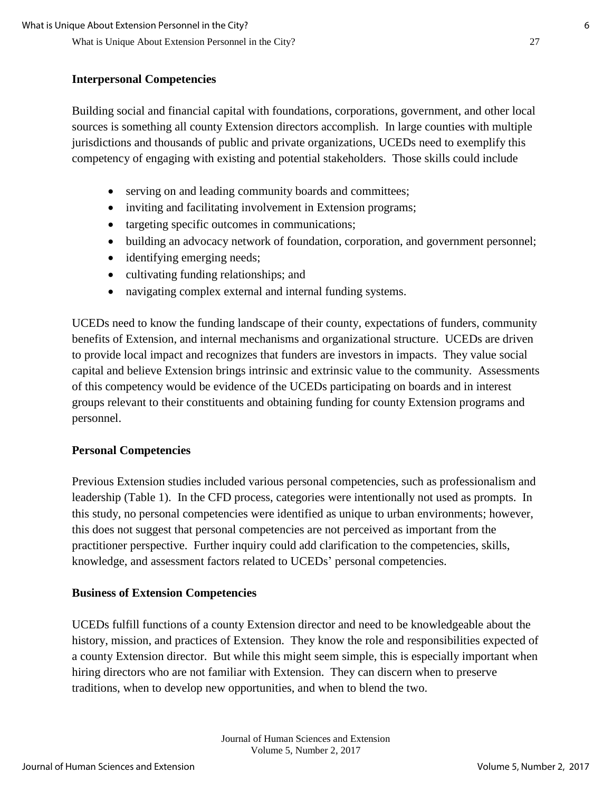## **Interpersonal Competencies**

Building social and financial capital with foundations, corporations, government, and other local sources is something all county Extension directors accomplish. In large counties with multiple jurisdictions and thousands of public and private organizations, UCEDs need to exemplify this competency of engaging with existing and potential stakeholders. Those skills could include

- serving on and leading community boards and committees;
- inviting and facilitating involvement in Extension programs;
- targeting specific outcomes in communications;
- building an advocacy network of foundation, corporation, and government personnel;
- identifying emerging needs;
- cultivating funding relationships; and
- navigating complex external and internal funding systems.

UCEDs need to know the funding landscape of their county, expectations of funders, community benefits of Extension, and internal mechanisms and organizational structure. UCEDs are driven to provide local impact and recognizes that funders are investors in impacts. They value social capital and believe Extension brings intrinsic and extrinsic value to the community. Assessments of this competency would be evidence of the UCEDs participating on boards and in interest groups relevant to their constituents and obtaining funding for county Extension programs and personnel.

## **Personal Competencies**

Previous Extension studies included various personal competencies, such as professionalism and leadership (Table 1). In the CFD process, categories were intentionally not used as prompts. In this study, no personal competencies were identified as unique to urban environments; however, this does not suggest that personal competencies are not perceived as important from the practitioner perspective. Further inquiry could add clarification to the competencies, skills, knowledge, and assessment factors related to UCEDs' personal competencies.

## **Business of Extension Competencies**

UCEDs fulfill functions of a county Extension director and need to be knowledgeable about the history, mission, and practices of Extension. They know the role and responsibilities expected of a county Extension director. But while this might seem simple, this is especially important when hiring directors who are not familiar with Extension. They can discern when to preserve traditions, when to develop new opportunities, and when to blend the two.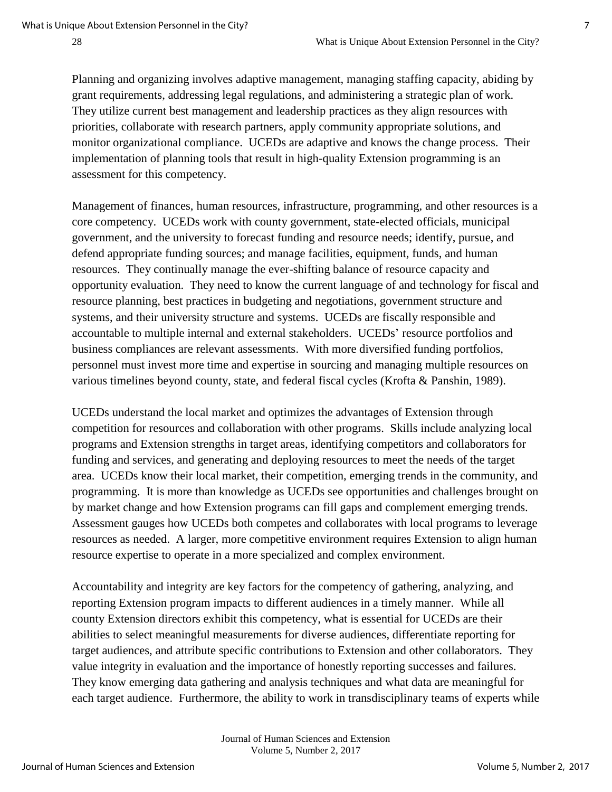Planning and organizing involves adaptive management, managing staffing capacity, abiding by grant requirements, addressing legal regulations, and administering a strategic plan of work. They utilize current best management and leadership practices as they align resources with priorities, collaborate with research partners, apply community appropriate solutions, and monitor organizational compliance. UCEDs are adaptive and knows the change process. Their implementation of planning tools that result in high-quality Extension programming is an assessment for this competency.

Management of finances, human resources, infrastructure, programming, and other resources is a core competency. UCEDs work with county government, state-elected officials, municipal government, and the university to forecast funding and resource needs; identify, pursue, and defend appropriate funding sources; and manage facilities, equipment, funds, and human resources. They continually manage the ever-shifting balance of resource capacity and opportunity evaluation. They need to know the current language of and technology for fiscal and resource planning, best practices in budgeting and negotiations, government structure and systems, and their university structure and systems. UCEDs are fiscally responsible and accountable to multiple internal and external stakeholders. UCEDs' resource portfolios and business compliances are relevant assessments. With more diversified funding portfolios, personnel must invest more time and expertise in sourcing and managing multiple resources on various timelines beyond county, state, and federal fiscal cycles (Krofta & Panshin, 1989).

UCEDs understand the local market and optimizes the advantages of Extension through competition for resources and collaboration with other programs. Skills include analyzing local programs and Extension strengths in target areas, identifying competitors and collaborators for funding and services, and generating and deploying resources to meet the needs of the target area. UCEDs know their local market, their competition, emerging trends in the community, and programming. It is more than knowledge as UCEDs see opportunities and challenges brought on by market change and how Extension programs can fill gaps and complement emerging trends. Assessment gauges how UCEDs both competes and collaborates with local programs to leverage resources as needed. A larger, more competitive environment requires Extension to align human resource expertise to operate in a more specialized and complex environment.

Accountability and integrity are key factors for the competency of gathering, analyzing, and reporting Extension program impacts to different audiences in a timely manner. While all county Extension directors exhibit this competency, what is essential for UCEDs are their abilities to select meaningful measurements for diverse audiences, differentiate reporting for target audiences, and attribute specific contributions to Extension and other collaborators. They value integrity in evaluation and the importance of honestly reporting successes and failures. They know emerging data gathering and analysis techniques and what data are meaningful for each target audience. Furthermore, the ability to work in transdisciplinary teams of experts while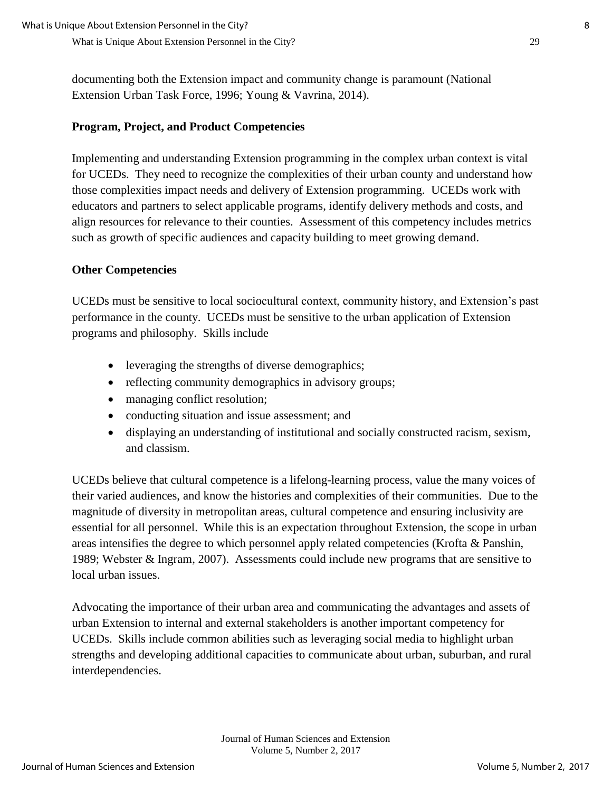documenting both the Extension impact and community change is paramount (National Extension Urban Task Force, 1996; Young & Vavrina, 2014).

#### **Program, Project, and Product Competencies**

Implementing and understanding Extension programming in the complex urban context is vital for UCEDs. They need to recognize the complexities of their urban county and understand how those complexities impact needs and delivery of Extension programming. UCEDs work with educators and partners to select applicable programs, identify delivery methods and costs, and align resources for relevance to their counties. Assessment of this competency includes metrics such as growth of specific audiences and capacity building to meet growing demand.

#### **Other Competencies**

UCEDs must be sensitive to local sociocultural context, community history, and Extension's past performance in the county. UCEDs must be sensitive to the urban application of Extension programs and philosophy. Skills include

- leveraging the strengths of diverse demographics;
- reflecting community demographics in advisory groups;
- managing conflict resolution;
- conducting situation and issue assessment; and
- displaying an understanding of institutional and socially constructed racism, sexism, and classism.

UCEDs believe that cultural competence is a lifelong-learning process, value the many voices of their varied audiences, and know the histories and complexities of their communities. Due to the magnitude of diversity in metropolitan areas, cultural competence and ensuring inclusivity are essential for all personnel. While this is an expectation throughout Extension, the scope in urban areas intensifies the degree to which personnel apply related competencies (Krofta & Panshin, 1989; Webster & Ingram, 2007). Assessments could include new programs that are sensitive to local urban issues.

Advocating the importance of their urban area and communicating the advantages and assets of urban Extension to internal and external stakeholders is another important competency for UCEDs. Skills include common abilities such as leveraging social media to highlight urban strengths and developing additional capacities to communicate about urban, suburban, and rural interdependencies.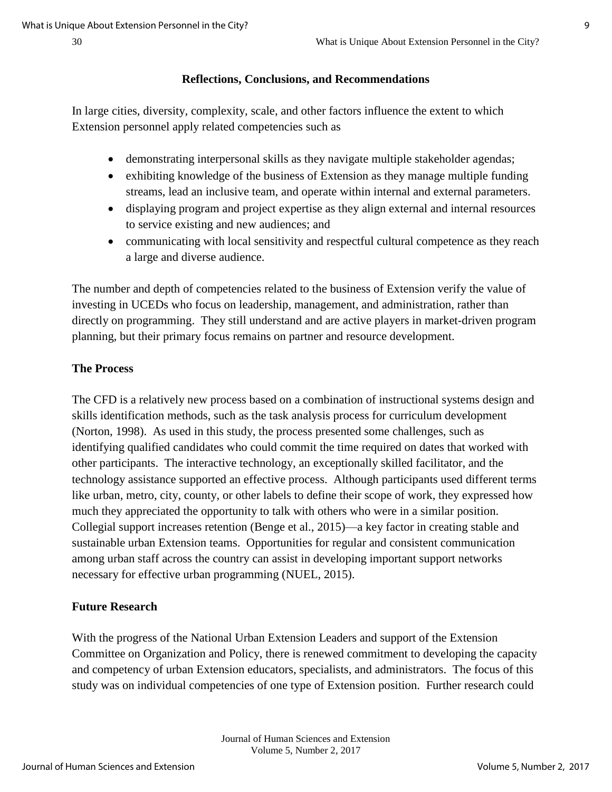#### **Reflections, Conclusions, and Recommendations**

In large cities, diversity, complexity, scale, and other factors influence the extent to which Extension personnel apply related competencies such as

- demonstrating interpersonal skills as they navigate multiple stakeholder agendas;
- exhibiting knowledge of the business of Extension as they manage multiple funding streams, lead an inclusive team, and operate within internal and external parameters.
- displaying program and project expertise as they align external and internal resources to service existing and new audiences; and
- communicating with local sensitivity and respectful cultural competence as they reach a large and diverse audience.

The number and depth of competencies related to the business of Extension verify the value of investing in UCEDs who focus on leadership, management, and administration, rather than directly on programming. They still understand and are active players in market-driven program planning, but their primary focus remains on partner and resource development.

#### **The Process**

The CFD is a relatively new process based on a combination of instructional systems design and skills identification methods, such as the task analysis process for curriculum development (Norton, 1998). As used in this study, the process presented some challenges, such as identifying qualified candidates who could commit the time required on dates that worked with other participants. The interactive technology, an exceptionally skilled facilitator, and the technology assistance supported an effective process. Although participants used different terms like urban, metro, city, county, or other labels to define their scope of work, they expressed how much they appreciated the opportunity to talk with others who were in a similar position. Collegial support increases retention (Benge et al., 2015)—a key factor in creating stable and sustainable urban Extension teams. Opportunities for regular and consistent communication among urban staff across the country can assist in developing important support networks necessary for effective urban programming (NUEL, 2015).

#### **Future Research**

With the progress of the National Urban Extension Leaders and support of the Extension Committee on Organization and Policy, there is renewed commitment to developing the capacity and competency of urban Extension educators, specialists, and administrators. The focus of this study was on individual competencies of one type of Extension position. Further research could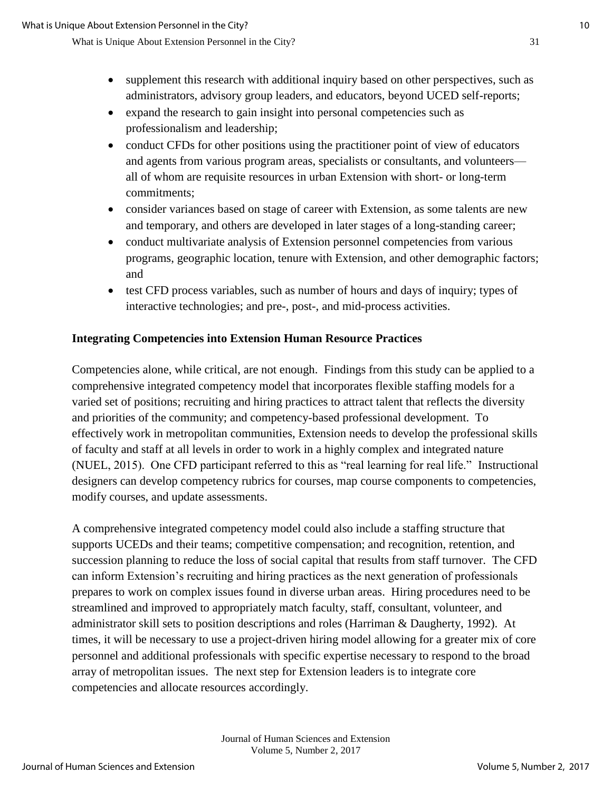- supplement this research with additional inquiry based on other perspectives, such as administrators, advisory group leaders, and educators, beyond UCED self-reports;
- expand the research to gain insight into personal competencies such as professionalism and leadership;
- conduct CFDs for other positions using the practitioner point of view of educators and agents from various program areas, specialists or consultants, and volunteers all of whom are requisite resources in urban Extension with short- or long-term commitments;
- consider variances based on stage of career with Extension, as some talents are new and temporary, and others are developed in later stages of a long-standing career;
- conduct multivariate analysis of Extension personnel competencies from various programs, geographic location, tenure with Extension, and other demographic factors; and
- test CFD process variables, such as number of hours and days of inquiry; types of interactive technologies; and pre-, post-, and mid-process activities.

## **Integrating Competencies into Extension Human Resource Practices**

Competencies alone, while critical, are not enough. Findings from this study can be applied to a comprehensive integrated competency model that incorporates flexible staffing models for a varied set of positions; recruiting and hiring practices to attract talent that reflects the diversity and priorities of the community; and competency-based professional development. To effectively work in metropolitan communities, Extension needs to develop the professional skills of faculty and staff at all levels in order to work in a highly complex and integrated nature (NUEL, 2015). One CFD participant referred to this as "real learning for real life." Instructional designers can develop competency rubrics for courses, map course components to competencies, modify courses, and update assessments.

A comprehensive integrated competency model could also include a staffing structure that supports UCEDs and their teams; competitive compensation; and recognition, retention, and succession planning to reduce the loss of social capital that results from staff turnover. The CFD can inform Extension's recruiting and hiring practices as the next generation of professionals prepares to work on complex issues found in diverse urban areas. Hiring procedures need to be streamlined and improved to appropriately match faculty, staff, consultant, volunteer, and administrator skill sets to position descriptions and roles (Harriman & Daugherty, 1992). At times, it will be necessary to use a project-driven hiring model allowing for a greater mix of core personnel and additional professionals with specific expertise necessary to respond to the broad array of metropolitan issues. The next step for Extension leaders is to integrate core competencies and allocate resources accordingly.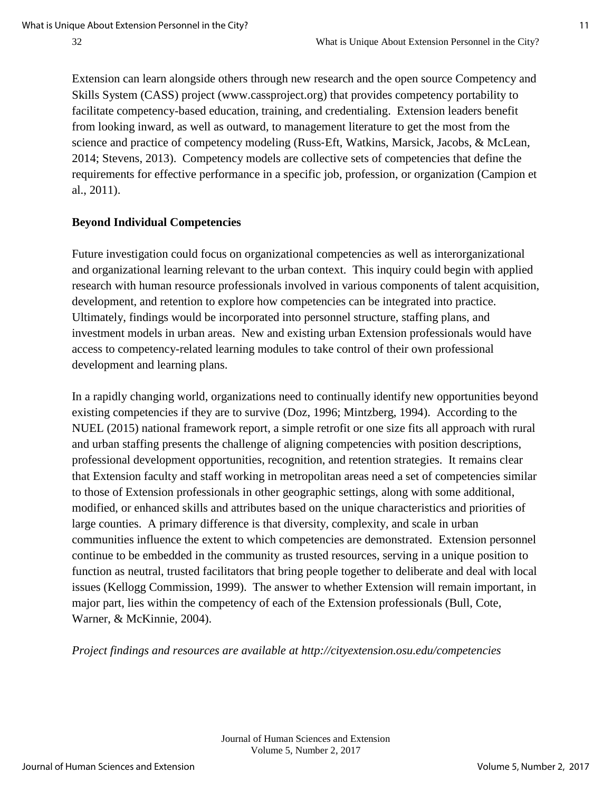Extension can learn alongside others through new research and the open source Competency and Skills System (CASS) project (www.cassproject.org) that provides competency portability to facilitate competency-based education, training, and credentialing. Extension leaders benefit from looking inward, as well as outward, to management literature to get the most from the science and practice of competency modeling (Russ-Eft, Watkins, Marsick, Jacobs, & McLean, 2014; Stevens, 2013). Competency models are collective sets of competencies that define the requirements for effective performance in a specific job, profession, or organization (Campion et al., 2011).

## **Beyond Individual Competencies**

Future investigation could focus on organizational competencies as well as interorganizational and organizational learning relevant to the urban context. This inquiry could begin with applied research with human resource professionals involved in various components of talent acquisition, development, and retention to explore how competencies can be integrated into practice. Ultimately, findings would be incorporated into personnel structure, staffing plans, and investment models in urban areas. New and existing urban Extension professionals would have access to competency-related learning modules to take control of their own professional development and learning plans.

In a rapidly changing world, organizations need to continually identify new opportunities beyond existing competencies if they are to survive (Doz, 1996; Mintzberg, 1994). According to the NUEL (2015) national framework report, a simple retrofit or one size fits all approach with rural and urban staffing presents the challenge of aligning competencies with position descriptions, professional development opportunities, recognition, and retention strategies. It remains clear that Extension faculty and staff working in metropolitan areas need a set of competencies similar to those of Extension professionals in other geographic settings, along with some additional, modified, or enhanced skills and attributes based on the unique characteristics and priorities of large counties. A primary difference is that diversity, complexity, and scale in urban communities influence the extent to which competencies are demonstrated. Extension personnel continue to be embedded in the community as trusted resources, serving in a unique position to function as neutral, trusted facilitators that bring people together to deliberate and deal with local issues (Kellogg Commission, 1999). The answer to whether Extension will remain important, in major part, lies within the competency of each of the Extension professionals (Bull, Cote, Warner, & McKinnie, 2004).

*Project findings and resources are available at http://cityextension.osu.edu/competencies*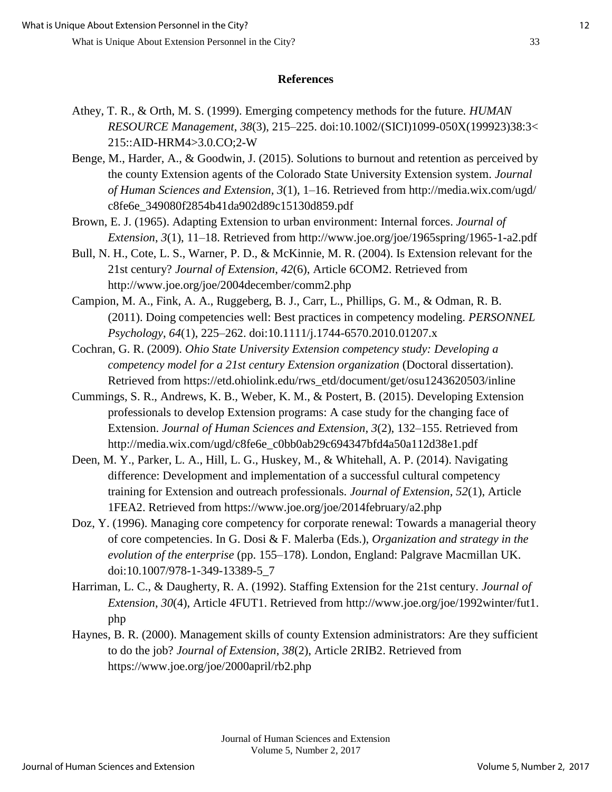#### **References**

- Athey, T. R., & Orth, M. S. (1999). Emerging competency methods for the future. *HUMAN RESOURCE Management*, *38*(3), 215–225. doi:10.1002/(SICI)1099-050X(199923)38:3< 215::AID-HRM4>3.0.CO;2-W
- Benge, M., Harder, A., & Goodwin, J. (2015). Solutions to burnout and retention as perceived by the county Extension agents of the Colorado State University Extension system. *Journal of Human Sciences and Extension, 3*(1), 1–16. Retrieved from http://media.wix.com/ugd/ c8fe6e\_349080f2854b41da902d89c15130d859.pdf
- Brown, E. J. (1965). Adapting Extension to urban environment: Internal forces. *Journal of Extension*, *3*(1), 11–18. Retrieved from http://www.joe.org/joe/1965spring/1965-1-a2.pdf
- Bull, N. H., Cote, L. S., Warner, P. D., & McKinnie, M. R. (2004). Is Extension relevant for the 21st century? *Journal of Extension*, *42*(6), Article 6COM2. Retrieved from http://www.joe.org/joe/2004december/comm2.php
- Campion, M. A., Fink, A. A., Ruggeberg, B. J., Carr, L., Phillips, G. M., & Odman, R. B. (2011). Doing competencies well: Best practices in competency modeling. *PERSONNEL Psychology*, *64*(1), 225–262. doi:10.1111/j.1744-6570.2010.01207.x
- Cochran, G. R. (2009). *Ohio State University Extension competency study: Developing a competency model for a 21st century Extension organization* (Doctoral dissertation). Retrieved from https://etd.ohiolink.edu/rws\_etd/document/get/osu1243620503/inline
- Cummings, S. R., Andrews, K. B., Weber, K. M., & Postert, B. (2015). Developing Extension professionals to develop Extension programs: A case study for the changing face of Extension. *Journal of Human Sciences and Extension*, *3*(2), 132–155. Retrieved from http://media.wix.com/ugd/c8fe6e\_c0bb0ab29c694347bfd4a50a112d38e1.pdf
- Deen, M. Y., Parker, L. A., Hill, L. G., Huskey, M., & Whitehall, A. P. (2014). Navigating difference: Development and implementation of a successful cultural competency training for Extension and outreach professionals. *Journal of Extension*, *52*(1), Article 1FEA2. Retrieved from https://www.joe.org/joe/2014february/a2.php
- Doz, Y. (1996). Managing core competency for corporate renewal: Towards a managerial theory of core competencies. In G. Dosi & F. Malerba (Eds.), *Organization and strategy in the evolution of the enterprise* (pp. 155–178). London, England: Palgrave Macmillan UK. doi:10.1007/978-1-349-13389-5\_7
- Harriman, L. C., & Daugherty, R. A. (1992). Staffing Extension for the 21st century. *Journal of Extension*, *30*(4), Article 4FUT1. Retrieved from http://www.joe.org/joe/1992winter/fut1. php
- Haynes, B. R. (2000). Management skills of county Extension administrators: Are they sufficient to do the job? *Journal of Extension*, *38*(2), Article 2RIB2. Retrieved from https://www.joe.org/joe/2000april/rb2.php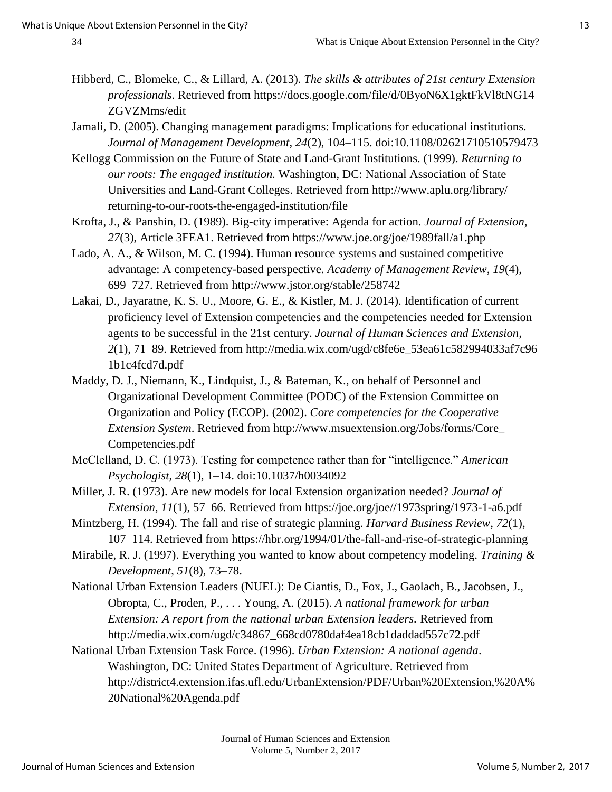- Hibberd, C., Blomeke, C., & Lillard, A. (2013). *The skills & attributes of 21st century Extension professionals*. Retrieved from https://docs.google.com/file/d/0ByoN6X1gktFkVl8tNG14 ZGVZMms/edit
- Jamali, D. (2005). Changing management paradigms: Implications for educational institutions. *Journal of Management Development*, *24*(2), 104–115. doi:10.1108/02621710510579473
- Kellogg Commission on the Future of State and Land-Grant Institutions. (1999). *Returning to our roots: The engaged institution.* Washington, DC: National Association of State Universities and Land-Grant Colleges. Retrieved from http://www.aplu.org/library/ returning-to-our-roots-the-engaged-institution/file
- Krofta, J., & Panshin, D. (1989). Big-city imperative: Agenda for action. *Journal of Extension, 27*(3), Article 3FEA1. Retrieved from https://www.joe.org/joe/1989fall/a1.php
- Lado, A. A., & Wilson, M. C. (1994). Human resource systems and sustained competitive advantage: A competency-based perspective. *Academy of Management Review*, *19*(4), 699–727. Retrieved from http://www.jstor.org/stable/258742
- Lakai, D., Jayaratne, K. S. U., Moore, G. E., & Kistler, M. J. (2014). Identification of current proficiency level of Extension competencies and the competencies needed for Extension agents to be successful in the 21st century. *Journal of Human Sciences and Extension, 2*(1), 71–89. Retrieved from http://media.wix.com/ugd/c8fe6e\_53ea61c582994033af7c96 1b1c4fcd7d.pdf
- Maddy, D. J., Niemann, K., Lindquist, J., & Bateman, K., on behalf of Personnel and Organizational Development Committee (PODC) of the Extension Committee on Organization and Policy (ECOP). (2002). *Core competencies for the Cooperative Extension System*. Retrieved from http://www.msuextension.org/Jobs/forms/Core\_ Competencies.pdf
- McClelland, D. C. (1973). Testing for competence rather than for "intelligence." *American Psychologist*, *28*(1), 1–14. doi:10.1037/h0034092
- Miller, J. R. (1973). Are new models for local Extension organization needed? *Journal of Extension*, *11*(1), 57–66. Retrieved from https://joe.org/joe//1973spring/1973-1-a6.pdf
- Mintzberg, H. (1994). The fall and rise of strategic planning. *Harvard Business Review*, *72*(1), 107–114. Retrieved from https://hbr.org/1994/01/the-fall-and-rise-of-strategic-planning
- Mirabile, R. J. (1997). Everything you wanted to know about competency modeling. *Training & Development*, *51*(8), 73–78.
- National Urban Extension Leaders (NUEL): De Ciantis, D., Fox, J., Gaolach, B., Jacobsen, J., Obropta, C., Proden, P., . . . Young, A. (2015). *A national framework for urban Extension: A report from the national urban Extension leaders.* Retrieved from http://media.wix.com/ugd/c34867\_668cd0780daf4ea18cb1daddad557c72.pdf

National Urban Extension Task Force. (1996). *Urban Extension: A national agenda*. Washington, DC: United States Department of Agriculture. Retrieved from http://district4.extension.ifas.ufl.edu/UrbanExtension/PDF/Urban%20Extension,%20A% 20National%20Agenda.pdf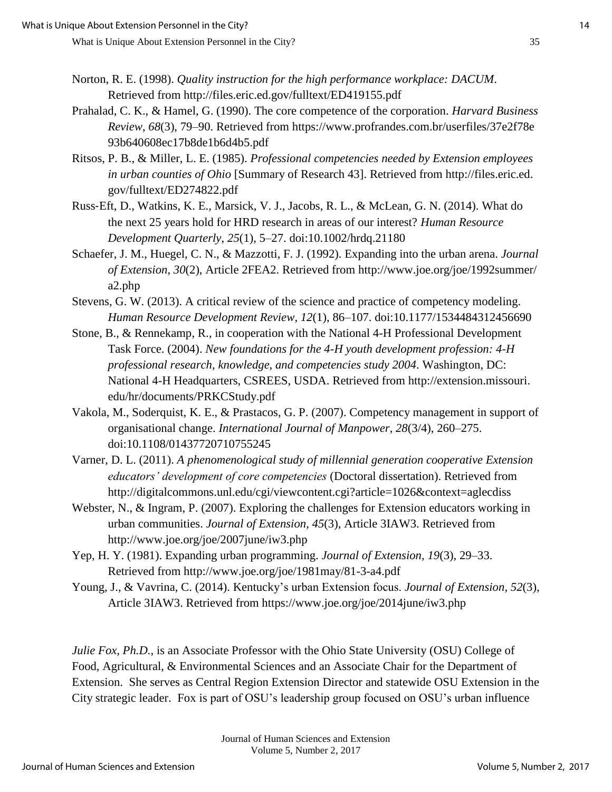- Norton, R. E. (1998). *Quality instruction for the high performance workplace: DACUM*. Retrieved from http://files.eric.ed.gov/fulltext/ED419155.pdf
- Prahalad, C. K., & Hamel, G. (1990). The core competence of the corporation. *Harvard Business Review*, *68*(3), 79–90. Retrieved from https://www.profrandes.com.br/userfiles/37e2f78e 93b640608ec17b8de1b6d4b5.pdf
- Ritsos, P. B., & Miller, L. E. (1985). *Professional competencies needed by Extension employees in urban counties of Ohio* [Summary of Research 43]. Retrieved from http://files.eric.ed. gov/fulltext/ED274822.pdf
- Russ‐Eft, D., Watkins, K. E., Marsick, V. J., Jacobs, R. L., & McLean, G. N. (2014). What do the next 25 years hold for HRD research in areas of our interest? *Human Resource Development Quarterly*, *25*(1), 5–27. doi:10.1002/hrdq.21180
- Schaefer, J. M., Huegel, C. N., & Mazzotti, F. J. (1992). Expanding into the urban arena. *Journal of Extension*, *30*(2), Article 2FEA2. Retrieved from http://www.joe.org/joe/1992summer/ a2.php
- Stevens, G. W. (2013). A critical review of the science and practice of competency modeling. *Human Resource Development Review*, *12*(1), 86–107. doi:10.1177/1534484312456690
- Stone, B., & Rennekamp, R., in cooperation with the National 4-H Professional Development Task Force. (2004). *New foundations for the 4-H youth development profession: 4-H professional research, knowledge, and competencies study 2004*. Washington, DC: National 4-H Headquarters, CSREES, USDA. Retrieved from http://extension.missouri. edu/hr/documents/PRKCStudy.pdf
- Vakola, M., Soderquist, K. E., & Prastacos, G. P. (2007). Competency management in support of organisational change. *International Journal of Manpower*, *28*(3/4), 260–275. doi:10.1108/01437720710755245
- Varner, D. L. (2011). *A phenomenological study of millennial generation cooperative Extension educators' development of core competencies* (Doctoral dissertation). Retrieved from http://digitalcommons.unl.edu/cgi/viewcontent.cgi?article=1026&context=aglecdiss
- Webster, N., & Ingram, P. (2007). Exploring the challenges for Extension educators working in urban communities. *Journal of Extension, 45*(3), Article 3IAW3. Retrieved from http://www.joe.org/joe/2007june/iw3.php
- Yep, H. Y. (1981). Expanding urban programming. *Journal of Extension, 19*(3), 29–33. Retrieved from http://www.joe.org/joe/1981may/81-3-a4.pdf
- Young, J., & Vavrina, C. (2014). Kentucky's urban Extension focus. *Journal of Extension*, *52*(3), Article 3IAW3. Retrieved from https://www.joe.org/joe/2014june/iw3.php

*Julie Fox, Ph.D.*, is an Associate Professor with the Ohio State University (OSU) College of Food, Agricultural, & Environmental Sciences and an Associate Chair for the Department of Extension. She serves as Central Region Extension Director and statewide OSU Extension in the City strategic leader. Fox is part of OSU's leadership group focused on OSU's urban influence